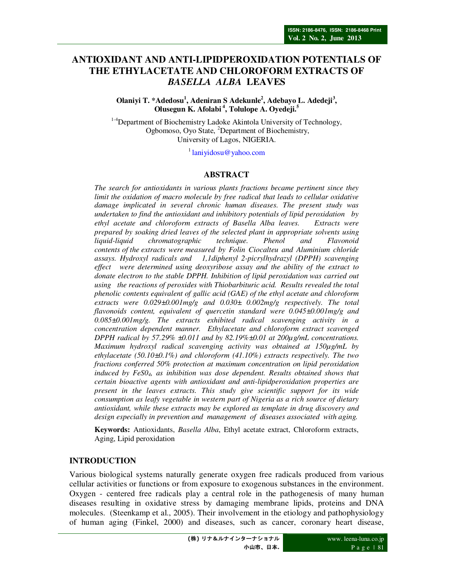# **ANTIOXIDANT AND ANTI-LIPIDPEROXIDATION POTENTIALS OF THE ETHYLACETATE AND CHLOROFORM EXTRACTS OF**  *BASELLA ALBA* **LEAVES**

**Olaniyi T. \*Adedosu<sup>1</sup> , Adeniran S Adekunle<sup>2</sup> , Adebayo L. Adedeji<sup>3</sup> , Olusegun K. Afolabi<sup>4</sup>, Tolulope A. Oyedeji.<sup>5</sup>**

<sup>1-4</sup>Department of Biochemistry Ladoke Akintola University of Technology, Ogbomoso, Oyo State, <sup>2</sup>Department of Biochemistry, University of Lagos, NIGERIA.

 $<sup>1</sup>$ laniyidosu@yahoo.com</sup>

#### **ABSTRACT**

*The search for antioxidants in various plants fractions became pertinent since they limit the oxidation of macro molecule by free radical that leads to cellular oxidative damage implicated in several chronic human diseases. The present study was undertaken to find the antioxidant and inhibitory potentials of lipid peroxidation by ethyl acetate and chloroform extracts of Basella Alba leaves. Extracts were prepared by soaking dried leaves of the selected plant in appropriate solvents using liquid-liquid chromatographic technique. Phenol and Flavonoid contents of the extracts were measured by Folin Ciocalteu and Aluminium chloride assays. Hydroxyl radicals and 1,1diphenyl 2-picrylhydrazyl (DPPH) scavenging effect were determined using deoxyribose assay and the ability of the extract to donate electron to the stable DPPH. Inhibition of lipid peroxidation was carried out using the reactions of peroxides with Thiobarbituric acid. Results revealed the total phenolic contents equivalent of gallic acid (GAE) of the ethyl acetate and chloroform extracts were 0.029±0.001mg/g and 0.030± 0.002mg/g respectively. The total flavonoids content, equivalent of quercetin standard were 0.045±0.001mg/g and 0.085±0.001mg/g. The extracts exhibited radical scavenging activity in a concentration dependent manner. Ethylacetate and chloroform extract scavenged DPPH radical by 57.29% ±0.011 and by 82.19%±0.01 at 200µg/mL concentrations. Maximum hydroxyl radical scavenging activity was obtained at 150µg/mL by ethylacetate (50.10±0.1%) and chloroform (41.10%) extracts respectively. The two fractions conferred 50% protection at maximum concentration on lipid peroxidation induced by FeS04, as inhibition was dose dependent. Results obtained shows that certain bioactive agents with antioxidant and anti-lipidperoxidation properties are present in the leaves extracts. This study give scientific support for its wide consumption as leafy vegetable in western part of Nigeria as a rich source of dietary antioxidant, while these extracts may be explored as template in drug discovery and design especially in prevention and management of diseases associated with aging.* 

**Keywords:** Antioxidants, *Basella Alba*, Ethyl acetate extract, Chloroform extracts, Aging, Lipid peroxidation

## **INTRODUCTION**

Various biological systems naturally generate oxygen free radicals produced from various cellular activities or functions or from exposure to exogenous substances in the environment. Oxygen - centered free radicals play a central role in the pathogenesis of many human diseases resulting in oxidative stress by damaging membrane lipids, proteins and DNA molecules. (Steenkamp et al., 2005). Their involvement in the etiology and pathophysiology of human aging (Finkel, 2000) and diseases, such as cancer, coronary heart disease,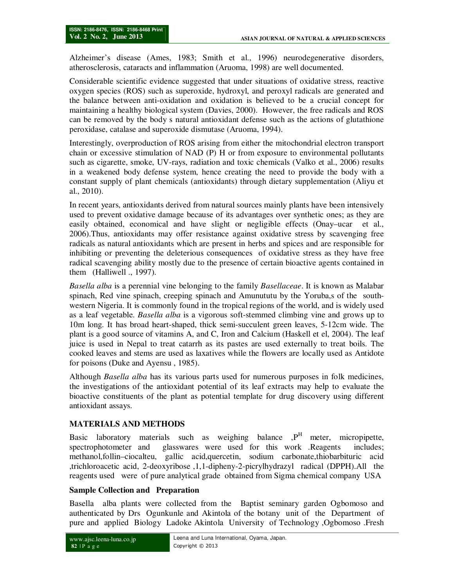Alzheimer's disease (Ames, 1983; Smith et al., 1996) neurodegenerative disorders, atherosclerosis, cataracts and inflammation (Aruoma, 1998) are well documented.

Considerable scientific evidence suggested that under situations of oxidative stress, reactive oxygen species (ROS) such as superoxide, hydroxyl, and peroxyl radicals are generated and the balance between anti-oxidation and oxidation is believed to be a crucial concept for maintaining a healthy biological system (Davies, 2000). However, the free radicals and ROS can be removed by the body s natural antioxidant defense such as the actions of glutathione peroxidase, catalase and superoxide dismutase (Aruoma, 1994).

Interestingly, overproduction of ROS arising from either the mitochondrial electron transport chain or excessive stimulation of NAD (P) H or from exposure to environmental pollutants such as cigarette, smoke, UV-rays, radiation and toxic chemicals (Valko et al., 2006) results in a weakened body defense system, hence creating the need to provide the body with a constant supply of plant chemicals (antioxidants) through dietary supplementation (Aliyu et al., 2010).

In recent years, antioxidants derived from natural sources mainly plants have been intensively used to prevent oxidative damage because of its advantages over synthetic ones; as they are easily obtained, economical and have slight or negligible effects (Onay–ucar et al., 2006).Thus, antioxidants may offer resistance against oxidative stress by scavenging free radicals as natural antioxidants which are present in herbs and spices and are responsible for inhibiting or preventing the deleterious consequences of oxidative stress as they have free radical scavenging ability mostly due to the presence of certain bioactive agents contained in them (Halliwell ., 1997).

*Basella alba* is a perennial vine belonging to the family *Basellaceae*. It is known as Malabar spinach, Red vine spinach, creeping spinach and Amunututu by the Yoruba,s of the southwestern Nigeria. It is commonly found in the tropical regions of the world, and is widely used as a leaf vegetable. *Basella alba* is a vigorous soft-stemmed climbing vine and grows up to 10m long. It has broad heart-shaped, thick semi-succulent green leaves, 5-12cm wide. The plant is a good source of vitamins A, and C, Iron and Calcium (Haskell et el, 2004). The leaf juice is used in Nepal to treat catarrh as its pastes are used externally to treat boils. The cooked leaves and stems are used as laxatives while the flowers are locally used as Antidote for poisons (Duke and Ayensu , 1985).

Although *Basella alba* has its various parts used for numerous purposes in folk medicines, the investigations of the antioxidant potential of its leaf extracts may help to evaluate the bioactive constituents of the plant as potential template for drug discovery using different antioxidant assays.

# **MATERIALS AND METHODS**

Basic laboratory materials such as weighing balance , P<sup>H</sup> meter, micropipette, spectrophotometer and glasswares were used for this work .Reagents includes; methanol,follin–ciocalteu, gallic acid,quercetin, sodium carbonate,thiobarbituric acid ,trichloroacetic acid, 2-deoxyribose ,1,1-dipheny-2-picrylhydrazyl radical (DPPH).All the reagents used were of pure analytical grade obtained from Sigma chemical company USA

## **Sample Collection and Preparation**

Basella alba plants were collected from the Baptist seminary garden Ogbomoso and authenticated by Drs Ogunkunle and Akintola of the botany unit of the Department of pure and applied Biology Ladoke Akintola University of Technology ,Ogbomoso .Fresh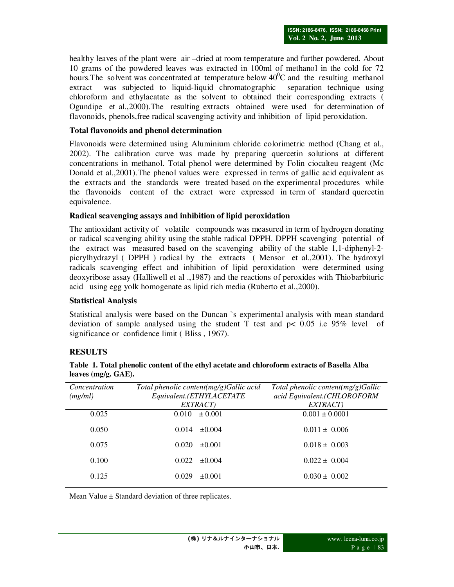healthy leaves of the plant were air –dried at room temperature and further powdered. About 10 grams of the powdered leaves was extracted in 100ml of methanol in the cold for 72 hours. The solvent was concentrated at temperature below  $40^{\circ}$ C and the resulting methanol extract was subjected to liquid-liquid chromatographic separation technique using chloroform and ethylacatate as the solvent to obtained their corresponding extracts ( Ogundipe et al.,2000).The resulting extracts obtained were used for determination of flavonoids, phenols,free radical scavenging activity and inhibition of lipid peroxidation.

## **Total flavonoids and phenol determination**

Flavonoids were determined using Aluminium chloride colorimetric method (Chang et al., 2002). The calibration curve was made by preparing quercetin solutions at different concentrations in methanol. Total phenol were determined by Folin ciocalteu reagent (Mc Donald et al.,2001).The phenol values were expressed in terms of gallic acid equivalent as the extracts and the standards were treated based on the experimental procedures while the flavonoids content of the extract were expressed in term of standard quercetin equivalence.

## **Radical scavenging assays and inhibition of lipid peroxidation**

The antioxidant activity of volatile compounds was measured in term of hydrogen donating or radical scavenging ability using the stable radical DPPH. DPPH scavenging potential of the extract was measured based on the scavenging ability of the stable 1,1-diphenyl-2 picrylhydrazyl ( DPPH ) radical by the extracts ( Mensor et al.,2001). The hydroxyl radicals scavenging effect and inhibition of lipid peroxidation were determined using deoxyribose assay (Halliwell et al .,1987) and the reactions of peroxides with Thiobarbituric acid using egg yolk homogenate as lipid rich media (Ruberto et al.,2000).

## **Statistical Analysis**

Statistical analysis were based on the Duncan `s experimental analysis with mean standard deviation of sample analysed using the student T test and  $p< 0.05$  i.e 95% level of significance or confidence limit ( Bliss , 1967).

# **RESULTS**

| Total phenolic content(mg/g)Gallic acid | Total phenolic content( $mg/g$ )Gallic |
|-----------------------------------------|----------------------------------------|
|                                         | acid Equivalent.(CHLOROFORM            |
|                                         | EXTRACT)                               |
| $\pm 0.001$<br>0.010                    | $0.001 \pm 0.0001$                     |
| $\pm 0.004$<br>0.014                    | $0.011 \pm 0.006$                      |
| 0.020<br>$+0.001$                       | $0.018 \pm 0.003$                      |
| 0.022<br>$\pm 0.004$                    | $0.022 \pm 0.004$                      |
| 0.029<br>$+0.001$                       | $0.030 \pm 0.002$                      |
|                                         | Equivalent.(ETHYLACETATE<br>EXTRACT)   |

| Table 1. Total phenolic content of the ethyl acetate and chloroform extracts of Basella Alba |  |
|----------------------------------------------------------------------------------------------|--|
| leaves $(mg/g, GAE)$ .                                                                       |  |

Mean Value  $\pm$  Standard deviation of three replicates.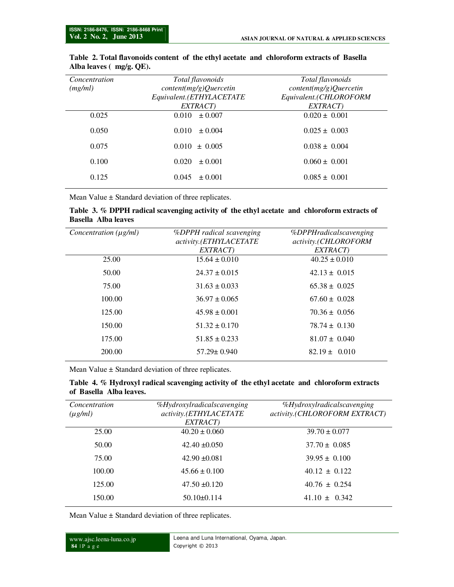| Concentration<br>(mg/ml) | Total flavonoids<br>content(mg/g) Quercetin<br>Equivalent.(ETHYLACETATE<br>EXTRACT) | Total flavonoids<br>content(mg/g) Quercetin<br>Equivalent.(CHLOROFORM<br>EXTRACT) |
|--------------------------|-------------------------------------------------------------------------------------|-----------------------------------------------------------------------------------|
| 0.025                    | $\pm 0.007$<br>0.010                                                                | $0.020 \pm 0.001$                                                                 |
| 0.050                    | 0.010<br>$\pm 0.004$                                                                | $0.025 \pm 0.003$                                                                 |
| 0.075                    | $0.010 \pm 0.005$                                                                   | $0.038 \pm 0.004$                                                                 |
| 0.100                    | 0.020<br>$\pm 0.001$                                                                | $0.060 \pm 0.001$                                                                 |
| 0.125                    | 0.045<br>$\pm 0.001$                                                                | $0.085 \pm 0.001$                                                                 |

### **Table 2. Total flavonoids content of the ethyl acetate and chloroform extracts of Basella Alba leaves ( mg/g. QE).**

Mean Value  $\pm$  Standard deviation of three replicates.

#### **Table 3. % DPPH radical scavenging activity of the ethyl acetate and chloroform extracts of Basella Alba leaves**

| Concentration $(\mu g/ml)$ | <i>%DPPH radical scavenging</i><br>activity.(ETHYLACETATE | %DPPHradicalscavenging<br>activity.(CHLOROFORM |
|----------------------------|-----------------------------------------------------------|------------------------------------------------|
|                            | EXTRACT)                                                  | EXTRACT)                                       |
| 25.00                      | $15.64 \pm 0.010$                                         | $40.25 \pm 0.010$                              |
| 50.00                      | $24.37 \pm 0.015$                                         | $42.13 \pm 0.015$                              |
| 75.00                      | $31.63 \pm 0.033$                                         | $65.38 \pm 0.025$                              |
| 100.00                     | $36.97 \pm 0.065$                                         | $67.60 \pm 0.028$                              |
| 125.00                     | $45.98 \pm 0.001$                                         | $70.36 \pm 0.056$                              |
| 150.00                     | $51.32 \pm 0.170$                                         | $78.74 \pm 0.130$                              |
| 175.00                     | $51.85 \pm 0.233$                                         | $81.07 \pm 0.040$                              |
| 200.00                     | $57.29 \pm 0.940$                                         | $82.19 \pm 0.010$                              |
|                            |                                                           |                                                |

Mean Value  $\pm$  Standard deviation of three replicates.

### **Table 4. % Hydroxyl radical scavenging activity of the ethyl acetate and chloroform extracts of Basella Alba leaves.**

| Concentration<br>$(\mu g/ml)$ | %Hydroxylradicalscavenging<br>activity.(ETHYLACETATE<br>EXTRACT) | %Hydroxylradicalscavenging<br>activity.(CHLOROFORM EXTRACT) |
|-------------------------------|------------------------------------------------------------------|-------------------------------------------------------------|
| 25.00                         | $40.20 \pm 0.060$                                                | $39.70 \pm 0.077$                                           |
| 50.00                         | $42.40 \pm 0.050$                                                | $37.70 \pm 0.085$                                           |
| 75.00                         | $42.90 \pm 0.081$                                                | $39.95 \pm 0.100$                                           |
| 100.00                        | $45.66 \pm 0.100$                                                | $40.12 \pm 0.122$                                           |
| 125.00                        | $47.50 \pm 0.120$                                                | $40.76 \pm 0.254$                                           |
| 150.00                        | $50.10 \pm 0.114$                                                | $41.10 \pm 0.342$                                           |

Mean Value ± Standard deviation of three replicates.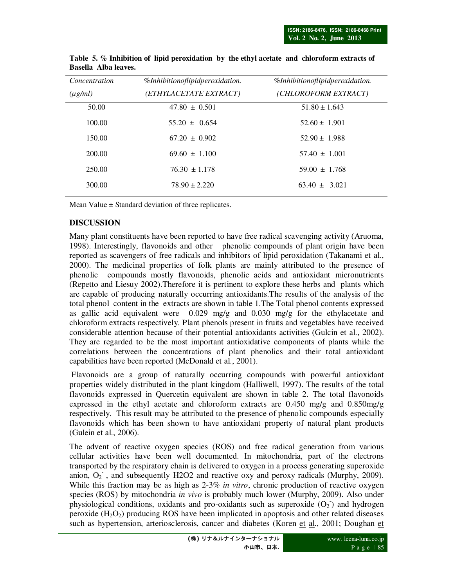| Concentration | %Inhibitionoflipidperoxidation. | %Inhibitionoflipidperoxidation. |
|---------------|---------------------------------|---------------------------------|
| $(\mu g/ml)$  | (ETHYLACETATE EXTRACT)          | (CHLOROFORM EXTRACT)            |
| 50.00         | $47.80 \pm 0.501$               | $51.80 \pm 1.643$               |
| 100.00        | $55.20 \pm 0.654$               | $52.60 \pm 1.901$               |
| 150.00        | $67.20 \pm 0.902$               | $52.90 \pm 1.988$               |
| 200.00        | $69.60 \pm 1.100$               | $57.40 \pm 1.001$               |
| 250.00        | $76.30 \pm 1.178$               | $59.00 \pm 1.768$               |
| 300.00        | $78.90 \pm 2.220$               | $63.40 \pm 3.021$               |
|               |                                 |                                 |

**Table 5. % Inhibition of lipid peroxidation by the ethyl acetate and chloroform extracts of Basella Alba leaves.** 

Mean Value  $\pm$  Standard deviation of three replicates.

## **DISCUSSION**

Many plant constituents have been reported to have free radical scavenging activity (Aruoma, 1998). Interestingly, flavonoids and other phenolic compounds of plant origin have been reported as scavengers of free radicals and inhibitors of lipid peroxidation (Takanami et al., 2000). The medicinal properties of folk plants are mainly attributed to the presence of phenolic compounds mostly flavonoids, phenolic acids and antioxidant micronutrients (Repetto and Liesuy 2002).Therefore it is pertinent to explore these herbs and plants which are capable of producing naturally occurring antioxidants.The results of the analysis of the total phenol content in the extracts are shown in table 1.The Total phenol contents expressed as gallic acid equivalent were  $0.029 \text{ mg/g}$  and  $0.030 \text{ mg/g}$  for the ethylacetate and chloroform extracts respectively. Plant phenols present in fruits and vegetables have received considerable attention because of their potential antioxidants activities (Gulcin et al., 2002). They are regarded to be the most important antioxidative components of plants while the correlations between the concentrations of plant phenolics and their total antioxidant capabilities have been reported (McDonald et al., 2001).

 Flavonoids are a group of naturally occurring compounds with powerful antioxidant properties widely distributed in the plant kingdom (Halliwell, 1997). The results of the total flavonoids expressed in Quercetin equivalent are shown in table 2. The total flavonoids expressed in the ethyl acetate and chloroform extracts are 0.450 mg/g and 0.850mg/g respectively. This result may be attributed to the presence of phenolic compounds especially flavonoids which has been shown to have antioxidant property of natural plant products (Gulein et al., 2006).

The advent of reactive oxygen species (ROS) and free radical generation from various cellular activities have been well documented. In mitochondria, part of the electrons transported by the respiratory chain is delivered to oxygen in a process generating superoxide anion,  $O_2$ , and subsequently H2O2 and reactive oxy and peroxy radicals (Murphy, 2009). While this fraction may be as high as 2-3% *in vitro*, chronic production of reactive oxygen species (ROS) by mitochondria *in vivo* is probably much lower (Murphy, 2009). Also under physiological conditions, oxidants and pro-oxidants such as superoxide  $(O_2)$  and hydrogen peroxide  $(H_2O_2)$  producing ROS have been implicated in apoptosis and other related diseases such as hypertension, arteriosclerosis, cancer and diabetes (Koren et al., 2001; Doughan et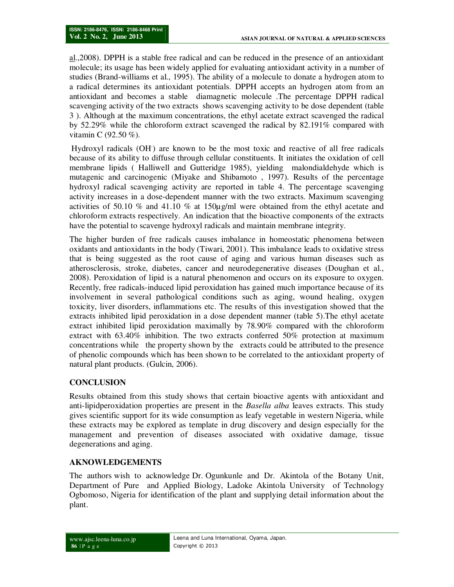al.,2008). DPPH is a stable free radical and can be reduced in the presence of an antioxidant molecule; its usage has been widely applied for evaluating antioxidant activity in a number of studies (Brand-williams et al., 1995). The ability of a molecule to donate a hydrogen atom to a radical determines its antioxidant potentials. DPPH accepts an hydrogen atom from an antioxidant and becomes a stable diamagnetic molecule .The percentage DPPH radical scavenging activity of the two extracts shows scavenging activity to be dose dependent (table 3 ). Although at the maximum concentrations, the ethyl acetate extract scavenged the radical by 52.29% while the chloroform extract scavenged the radical by 82.191% compared with vitamin C (92.50 %).

 Hydroxyl radicals (OH. ) are known to be the most toxic and reactive of all free radicals because of its ability to diffuse through cellular constituents. It initiates the oxidation of cell membrane lipids ( Halliwell and Gutteridge 1985), yielding malondialdehyde which is mutagenic and carcinogenic (Miyake and Shibamoto , 1997). Results of the percentage hydroxyl radical scavenging activity are reported in table 4. The percentage scavenging activity increases in a dose-dependent manner with the two extracts. Maximum scavenging activities of 50.10 % and 41.10 % at 150 $\mu$ g/ml were obtained from the ethyl acetate and chloroform extracts respectively. An indication that the bioactive components of the extracts have the potential to scavenge hydroxyl radicals and maintain membrane integrity.

The higher burden of free radicals causes imbalance in homeostatic phenomena between oxidants and antioxidants in the body (Tiwari, 2001). This imbalance leads to oxidative stress that is being suggested as the root cause of aging and various human diseases such as atherosclerosis, stroke, diabetes, cancer and neurodegenerative diseases (Doughan et al., 2008). Peroxidation of lipid is a natural phenomenon and occurs on its exposure to oxygen. Recently, free radicals-induced lipid peroxidation has gained much importance because of its involvement in several pathological conditions such as aging, wound healing, oxygen toxicity, liver disorders, inflammations etc. The results of this investigation showed that the extracts inhibited lipid peroxidation in a dose dependent manner (table 5).The ethyl acetate extract inhibited lipid peroxidation maximally by 78.90% compared with the chloroform extract with 63.40% inhibition. The two extracts conferred 50% protection at maximum concentrations while the property shown by the extracts could be attributed to the presence of phenolic compounds which has been shown to be correlated to the antioxidant property of natural plant products. (Gulcin, 2006).

# **CONCLUSION**

Results obtained from this study shows that certain bioactive agents with antioxidant and anti-lipidperoxidation properties are present in the *Basella alba* leaves extracts. This study gives scientific support for its wide consumption as leafy vegetable in western Nigeria, while these extracts may be explored as template in drug discovery and design especially for the management and prevention of diseases associated with oxidative damage, tissue degenerations and aging.

# **AKNOWLEDGEMENTS**

The authors wish to acknowledge Dr. Ogunkunle and Dr. Akintola of the Botany Unit, Department of Pure and Applied Biology, Ladoke Akintola University of Technology Ogbomoso, Nigeria for identification of the plant and supplying detail information about the plant.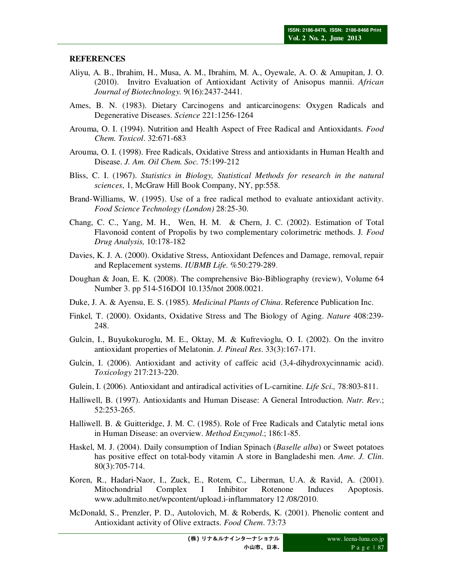## **REFERENCES**

- Aliyu, A. B., Ibrahim, H., Musa, A. M., Ibrahim, M. A., Oyewale, A. O. & Amupitan, J. O. (2010). Invitro Evaluation of Antioxidant Activity of Anisopus mannii. *African Journal of Biotechnology.* 9(16):2437-2441.
- Ames, B. N. (1983). Dietary Carcinogens and anticarcinogens: Oxygen Radicals and Degenerative Diseases. *Science* 221:1256-1264
- Arouma, O. I. (1994). Nutrition and Health Aspect of Free Radical and Antioxidants. *Food Chem. Toxicol*. 32:671-683
- Arouma, O. I. (1998). Free Radicals, Oxidative Stress and antioxidants in Human Health and Disease. *J. Am. Oil Chem. Soc.* 75:199-212
- Bliss, C. I. (1967). *Statistics in Biology, Statistical Methods for research in the natural sciences*, 1, McGraw Hill Book Company, NY, pp:558.
- Brand-Williams, W. (1995). Use of a free radical method to evaluate antioxidant activit*y*. *Food Science Technology (London)* 28:25-30.
- Chang, C. C., Yang, M. H., Wen, H. M. & Chern, J. C. (2002). Estimation of Total Flavonoid content of Propolis by two complementary colorimetric methods. J*. Food Drug Analysis,* 10:178-182
- Davies, K. J. A. (2000). Oxidative Stress, Antioxidant Defences and Damage, removal, repair and Replacement systems. *IUBMB Life.* %50:279-289.
- Doughan & Joan, E. K. (2008). The comprehensive Bio-Bibliography (review), Volume 64 Number 3. pp 514-516DOI 10.135/not 2008.0021.
- Duke, J. A. & Ayensu, E. S. (1985). *Medicinal Plants of China*. Reference Publication Inc.
- Finkel, T. (2000). Oxidants, Oxidative Stress and The Biology of Aging. *Nature* 408:239- 248.
- Gulcin, I., Buyukokuroglu, M. E., Oktay, M. & Kufrevioglu, O. I. (2002). On the invitro antioxidant properties of Melatonin. *J. Pineal Res*. 33(3):167-171.
- Gulcin, I. (2006). Antioxidant and activity of caffeic acid (3,4-dihydroxycinnamic acid). *Toxicology* 217:213-220.
- Gulein, I. (2006). Antioxidant and antiradical activities of L-carnitine. *Life Sci.,* 78:803-811.
- Halliwell, B. (1997). Antioxidants and Human Disease: A General Introduction. *Nutr. Rev*.; 52:253-265.
- Halliwell. B. & Guitteridge, J. M. C. (1985). Role of Free Radicals and Catalytic metal ions in Human Disease: an overview. *Method Enzymol*.; 186:1-85.
- Haskel, M. J. (2004). Daily consumption of Indian Spinach (*Baselle alba*) or Sweet potatoes has positive effect on total-body vitamin A store in Bangladeshi men. *Ame. J. Clin*. 80(3):705-714.
- Koren, R., Hadari-Naor, I., Zuck, E., Rotem, C., Liberman, U.A. & Ravid, A. (2001). Mitochondrial Complex I Inhibitor Rotenone Induces Apoptosis. www.adultmito.net/wpcontent/upload.i-inflammatory 12 /08/2010.
- McDonald, S., Prenzler, P. D., Autolovich, M. & Roberds, K. (2001). Phenolic content and Antioxidant activity of Olive extracts. *Food Chem*. 73:73